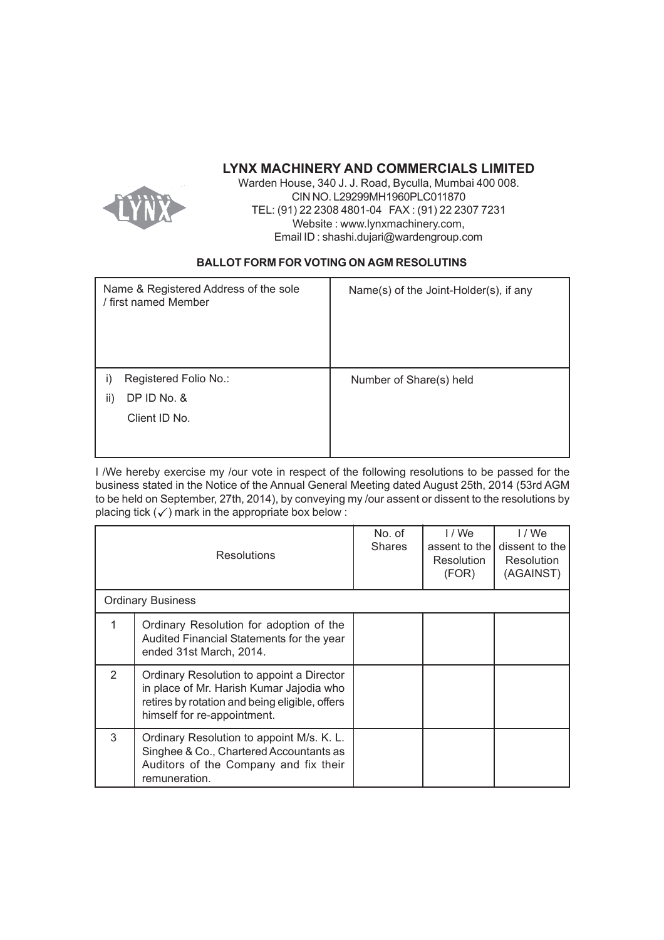# **LYNX MACHINERY AND COMMERCIALS LIMITED**



Warden House, 340 J. J. Road, Byculla, Mumbai 400 008. CIN NO. L29299MH1960PLC011870 TEL: (91) 22 2308 4801-04 FAX : (91) 22 2307 7231 Website : www.lynxmachinery.com, Email ID : shashi.dujari@wardengroup.com

## **BALLOT FORM FOR VOTING ON AGM RESOLUTINS**

| Name & Registered Address of the sole<br>/ first named Member | Name(s) of the Joint-Holder(s), if any |
|---------------------------------------------------------------|----------------------------------------|
| Registered Folio No.:<br>I)                                   | Number of Share(s) held                |
| DP ID No. &<br>ii)                                            |                                        |
| Client ID No.                                                 |                                        |
|                                                               |                                        |

I /We hereby exercise my /our vote in respect of the following resolutions to be passed for the business stated in the Notice of the Annual General Meeting dated August 25th, 2014 (53rd AGM to be held on September, 27th, 2014), by conveying my /our assent or dissent to the resolutions by placing tick  $(\checkmark)$  mark in the appropriate box below :

|                          | <b>Resolutions</b>                                                                                                                                                     | No. of<br><b>Shares</b> | I / We<br>assent to the<br>Resolution<br>(FOR) | 1/We<br>dissent to the<br>Resolution<br>(AGAINST) |  |
|--------------------------|------------------------------------------------------------------------------------------------------------------------------------------------------------------------|-------------------------|------------------------------------------------|---------------------------------------------------|--|
| <b>Ordinary Business</b> |                                                                                                                                                                        |                         |                                                |                                                   |  |
|                          | Ordinary Resolution for adoption of the<br>Audited Financial Statements for the year<br>ended 31st March, 2014.                                                        |                         |                                                |                                                   |  |
| $\mathcal{P}$            | Ordinary Resolution to appoint a Director<br>in place of Mr. Harish Kumar Jajodia who<br>retires by rotation and being eligible, offers<br>himself for re-appointment. |                         |                                                |                                                   |  |
| 3                        | Ordinary Resolution to appoint M/s. K. L.<br>Singhee & Co., Chartered Accountants as<br>Auditors of the Company and fix their<br>remuneration.                         |                         |                                                |                                                   |  |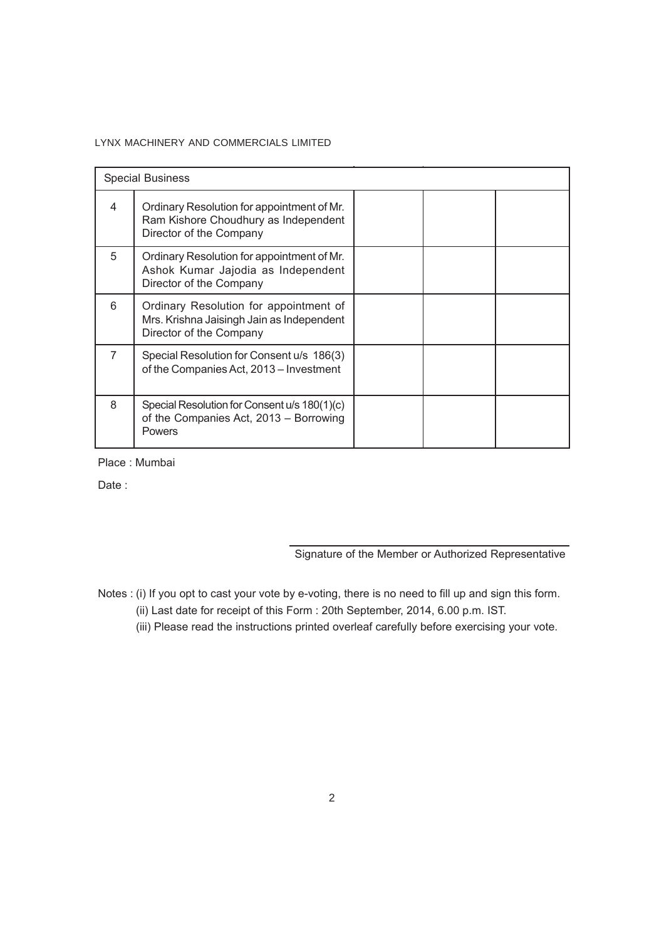### LYNX MACHINERY AND COMMERCIALS LIMITED

| <b>Special Business</b> |                                                                                                                |  |  |
|-------------------------|----------------------------------------------------------------------------------------------------------------|--|--|
| 4                       | Ordinary Resolution for appointment of Mr.<br>Ram Kishore Choudhury as Independent<br>Director of the Company  |  |  |
| 5                       | Ordinary Resolution for appointment of Mr.<br>Ashok Kumar Jajodia as Independent<br>Director of the Company    |  |  |
| 6                       | Ordinary Resolution for appointment of<br>Mrs. Krishna Jaisingh Jain as Independent<br>Director of the Company |  |  |
|                         | Special Resolution for Consent u/s 186(3)<br>of the Companies Act, 2013 – Investment                           |  |  |
| 8                       | Special Resolution for Consent u/s 180(1)(c)<br>of the Companies Act, 2013 - Borrowing<br>Powers               |  |  |

Place : Mumbai

Date :

Signature of the Member or Authorized Representative

Notes : (i) If you opt to cast your vote by e-voting, there is no need to fill up and sign this form.

(ii) Last date for receipt of this Form : 20th September, 2014, 6.00 p.m. IST.

(iii) Please read the instructions printed overleaf carefully before exercising your vote.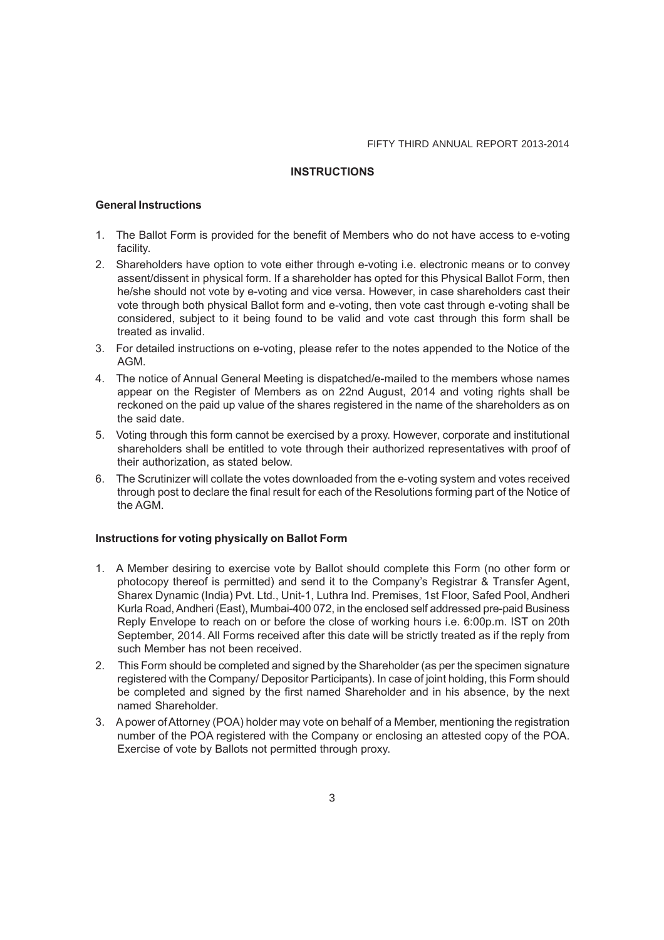#### **INSTRUCTIONS**

#### **General Instructions**

- 1. The Ballot Form is provided for the benefit of Members who do not have access to e-voting facility.
- 2. Shareholders have option to vote either through e-voting i.e. electronic means or to convey assent/dissent in physical form. If a shareholder has opted for this Physical Ballot Form, then he/she should not vote by e-voting and vice versa. However, in case shareholders cast their vote through both physical Ballot form and e-voting, then vote cast through e-voting shall be considered, subject to it being found to be valid and vote cast through this form shall be treated as invalid.
- 3. For detailed instructions on e-voting, please refer to the notes appended to the Notice of the AGM.
- 4. The notice of Annual General Meeting is dispatched/e-mailed to the members whose names appear on the Register of Members as on 22nd August, 2014 and voting rights shall be reckoned on the paid up value of the shares registered in the name of the shareholders as on the said date.
- 5. Voting through this form cannot be exercised by a proxy. However, corporate and institutional shareholders shall be entitled to vote through their authorized representatives with proof of their authorization, as stated below.
- 6. The Scrutinizer will collate the votes downloaded from the e-voting system and votes received through post to declare the final result for each of the Resolutions forming part of the Notice of the AGM.

#### **Instructions for voting physically on Ballot Form**

- 1. A Member desiring to exercise vote by Ballot should complete this Form (no other form or photocopy thereof is permitted) and send it to the Company's Registrar & Transfer Agent, Sharex Dynamic (India) Pvt. Ltd., Unit-1, Luthra Ind. Premises, 1st Floor, Safed Pool, Andheri Kurla Road, Andheri (East), Mumbai-400 072, in the enclosed self addressed pre-paid Business Reply Envelope to reach on or before the close of working hours i.e. 6:00p.m. IST on 20th September, 2014. All Forms received after this date will be strictly treated as if the reply from such Member has not been received.
- 2. This Form should be completed and signed by the Shareholder (as per the specimen signature registered with the Company/ Depositor Participants). In case of joint holding, this Form should be completed and signed by the first named Shareholder and in his absence, by the next named Shareholder.
- 3. A power of Attorney (POA) holder may vote on behalf of a Member, mentioning the registration number of the POA registered with the Company or enclosing an attested copy of the POA. Exercise of vote by Ballots not permitted through proxy.